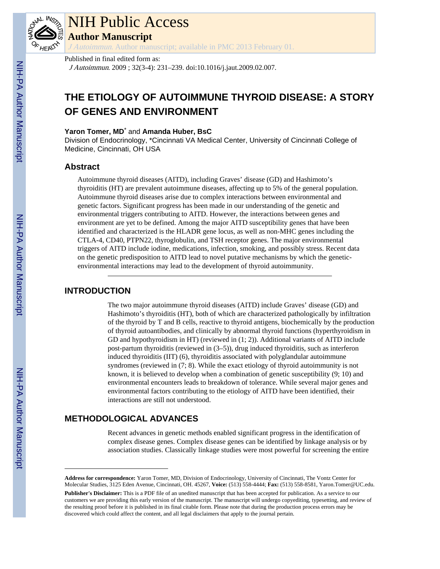

### NIH Public Access

**Author Manuscript**

J Autoimmun. Author manuscript; available in PMC 2013 February 01.

#### Published in final edited form as:

J Autoimmun. 2009 ; 32(3-4): 231–239. doi:10.1016/j.jaut.2009.02.007.

### **THE ETIOLOGY OF AUTOIMMUNE THYROID DISEASE: A STORY OF GENES AND ENVIRONMENT**

#### **Yaron Tomer, MD**\* and **Amanda Huber, BsC**

Division of Endocrinology, \*Cincinnati VA Medical Center, University of Cincinnati College of Medicine, Cincinnati, OH USA

#### **Abstract**

Autoimmune thyroid diseases (AITD), including Graves' disease (GD) and Hashimoto's thyroiditis (HT) are prevalent autoimmune diseases, affecting up to 5% of the general population. Autoimmune thyroid diseases arise due to complex interactions between environmental and genetic factors. Significant progress has been made in our understanding of the genetic and environmental triggers contributing to AITD. However, the interactions between genes and environment are yet to be defined. Among the major AITD susceptibility genes that have been identified and characterized is the HLADR gene locus, as well as non-MHC genes including the CTLA-4, CD40, PTPN22, thyroglobulin, and TSH receptor genes. The major environmental triggers of AITD include iodine, medications, infection, smoking, and possibly stress. Recent data on the genetic predisposition to AITD lead to novel putative mechanisms by which the geneticenvironmental interactions may lead to the development of thyroid autoimmunity.

#### **INTRODUCTION**

The two major autoimmune thyroid diseases (AITD) include Graves' disease (GD) and Hashimoto's thyroiditis (HT), both of which are characterized pathologically by infiltration of the thyroid by T and B cells, reactive to thyroid antigens, biochemically by the production of thyroid autoantibodies, and clinically by abnormal thyroid functions (hyperthyroidism in GD and hypothyroidism in HT) (reviewed in (1; 2)). Additional variants of AITD include post-partum thyroiditis (reviewed in (3–5)), drug induced thyroiditis, such as interferon induced thyroiditis (IIT) (6), thyroiditis associated with polyglandular autoimmune syndromes (reviewed in (7; 8). While the exact etiology of thyroid autoimmunity is not known, it is believed to develop when a combination of genetic susceptibility (9; 10) and environmental encounters leads to breakdown of tolerance. While several major genes and environmental factors contributing to the etiology of AITD have been identified, their interactions are still not understood.

#### **METHODOLOGICAL ADVANCES**

Recent advances in genetic methods enabled significant progress in the identification of complex disease genes. Complex disease genes can be identified by linkage analysis or by association studies. Classically linkage studies were most powerful for screening the entire

**Address for correspondence:** Yaron Tomer, MD, Division of Endocrinology, University of Cincinnati, The Vontz Center for Molecular Studies, 3125 Eden Avenue, Cincinnati, OH. 45267, **Voice:** (513) 558-4444; **Fax:** (513) 558-8581, Yaron.Tomer@UC.edu.

**Publisher's Disclaimer:** This is a PDF file of an unedited manuscript that has been accepted for publication. As a service to our customers we are providing this early version of the manuscript. The manuscript will undergo copyediting, typesetting, and review of the resulting proof before it is published in its final citable form. Please note that during the production process errors may be discovered which could affect the content, and all legal disclaimers that apply to the journal pertain.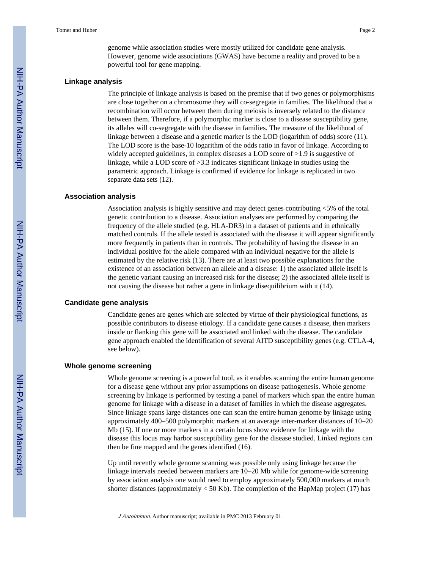genome while association studies were mostly utilized for candidate gene analysis. However, genome wide associations (GWAS) have become a reality and proved to be a powerful tool for gene mapping.

#### **Linkage analysis**

The principle of linkage analysis is based on the premise that if two genes or polymorphisms are close together on a chromosome they will co-segregate in families. The likelihood that a recombination will occur between them during meiosis is inversely related to the distance between them. Therefore, if a polymorphic marker is close to a disease susceptibility gene, its alleles will co-segregate with the disease in families. The measure of the likelihood of linkage between a disease and a genetic marker is the LOD (logarithm of odds) score (11). The LOD score is the base-10 logarithm of the odds ratio in favor of linkage. According to widely accepted guidelines, in complex diseases a LOD score of  $>1.9$  is suggestive of linkage, while a LOD score of >3.3 indicates significant linkage in studies using the parametric approach. Linkage is confirmed if evidence for linkage is replicated in two separate data sets (12).

#### **Association analysis**

Association analysis is highly sensitive and may detect genes contributing <5% of the total genetic contribution to a disease. Association analyses are performed by comparing the frequency of the allele studied (e.g. HLA-DR3) in a dataset of patients and in ethnically matched controls. If the allele tested is associated with the disease it will appear significantly more frequently in patients than in controls. The probability of having the disease in an individual positive for the allele compared with an individual negative for the allele is estimated by the relative risk (13). There are at least two possible explanations for the existence of an association between an allele and a disease: 1) the associated allele itself is the genetic variant causing an increased risk for the disease; 2) the associated allele itself is not causing the disease but rather a gene in linkage disequilibrium with it (14).

#### **Candidate gene analysis**

Candidate genes are genes which are selected by virtue of their physiological functions, as possible contributors to disease etiology. If a candidate gene causes a disease, then markers inside or flanking this gene will be associated and linked with the disease. The candidate gene approach enabled the identification of several AITD susceptibility genes (e.g. CTLA-4, see below).

#### **Whole genome screening**

Whole genome screening is a powerful tool, as it enables scanning the entire human genome for a disease gene without any prior assumptions on disease pathogenesis. Whole genome screening by linkage is performed by testing a panel of markers which span the entire human genome for linkage with a disease in a dataset of families in which the disease aggregates. Since linkage spans large distances one can scan the entire human genome by linkage using approximately 400–500 polymorphic markers at an average inter-marker distances of 10–20 Mb (15). If one or more markers in a certain locus show evidence for linkage with the disease this locus may harbor susceptibility gene for the disease studied. Linked regions can then be fine mapped and the genes identified (16).

Up until recently whole genome scanning was possible only using linkage because the linkage intervals needed between markers are 10–20 Mb while for genome-wide screening by association analysis one would need to employ approximately 500,000 markers at much shorter distances (approximately  $<$  50 Kb). The completion of the HapMap project (17) has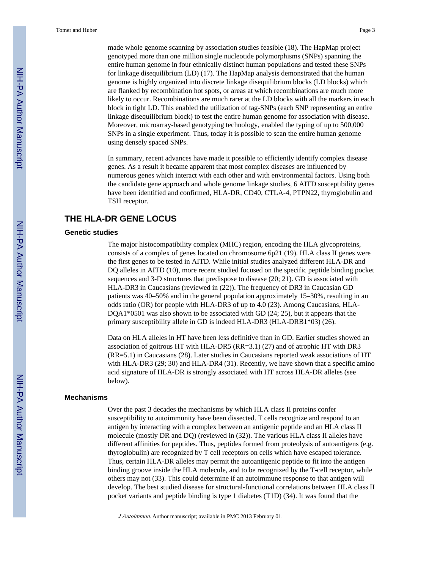made whole genome scanning by association studies feasible (18). The HapMap project genotyped more than one million single nucleotide polymorphisms (SNPs) spanning the entire human genome in four ethnically distinct human populations and tested these SNPs for linkage disequilibrium (LD) (17). The HapMap analysis demonstrated that the human genome is highly organized into discrete linkage disequilibrium blocks (LD blocks) which are flanked by recombination hot spots, or areas at which recombinations are much more likely to occur. Recombinations are much rarer at the LD blocks with all the markers in each block in tight LD. This enabled the utilization of tag-SNPs (each SNP representing an entire linkage disequilibrium block) to test the entire human genome for association with disease. Moreover, microarray-based genotyping technology, enabled the typing of up to 500,000 SNPs in a single experiment. Thus, today it is possible to scan the entire human genome using densely spaced SNPs.

In summary, recent advances have made it possible to efficiently identify complex disease genes. As a result it became apparent that most complex diseases are influenced by numerous genes which interact with each other and with environmental factors. Using both the candidate gene approach and whole genome linkage studies, 6 AITD susceptibility genes have been identified and confirmed, HLA-DR, CD40, CTLA-4, PTPN22, thyroglobulin and TSH receptor.

#### **THE HLA-DR GENE LOCUS**

#### **Genetic studies**

The major histocompatibility complex (MHC) region, encoding the HLA glycoproteins, consists of a complex of genes located on chromosome 6p21 (19). HLA class II genes were the first genes to be tested in AITD. While initial studies analyzed different HLA-DR and DQ alleles in AITD (10), more recent studied focused on the specific peptide binding pocket sequences and 3-D structures that predispose to disease (20; 21). GD is associated with HLA-DR3 in Caucasians (reviewed in (22)). The frequency of DR3 in Caucasian GD patients was 40–50% and in the general population approximately 15–30%, resulting in an odds ratio (OR) for people with HLA-DR3 of up to 4.0 (23). Among Caucasians, HLA-DQA1\*0501 was also shown to be associated with GD (24; 25), but it appears that the primary susceptibility allele in GD is indeed HLA-DR3 (HLA-DRB1\*03) (26).

Data on HLA alleles in HT have been less definitive than in GD. Earlier studies showed an association of goitrous HT with HLA-DR5 (RR=3.1) (27) and of atrophic HT with DR3 (RR=5.1) in Caucasians (28). Later studies in Caucasians reported weak associations of HT with HLA-DR3 (29; 30) and HLA-DR4 (31). Recently, we have shown that a specific amino acid signature of HLA-DR is strongly associated with HT across HLA-DR alleles (see below).

#### **Mechanisms**

Over the past 3 decades the mechanisms by which HLA class II proteins confer susceptibility to autoimmunity have been dissected. T cells recognize and respond to an antigen by interacting with a complex between an antigenic peptide and an HLA class II molecule (mostly DR and DQ) (reviewed in (32)). The various HLA class II alleles have different affinities for peptides. Thus, peptides formed from proteolysis of autoantigens (e.g. thyroglobulin) are recognized by T cell receptors on cells which have escaped tolerance. Thus, certain HLA-DR alleles may permit the autoantigenic peptide to fit into the antigen binding groove inside the HLA molecule, and to be recognized by the T-cell receptor, while others may not (33). This could determine if an autoimmune response to that antigen will develop. The best studied disease for structural-functional correlations between HLA class II pocket variants and peptide binding is type 1 diabetes (T1D) (34). It was found that the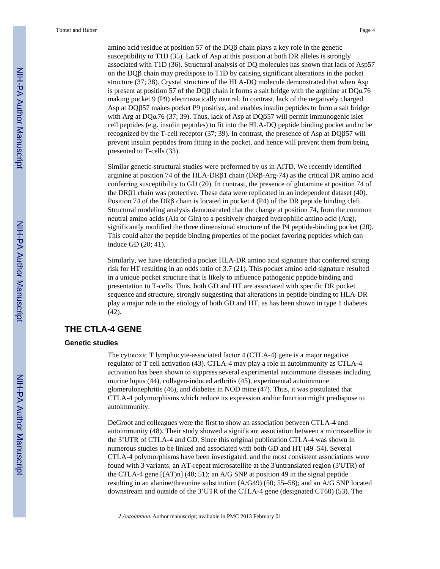amino acid residue at position 57 of the DQβ chain plays a key role in the genetic susceptibility to T1D (35). Lack of Asp at this position at both DR alleles is strongly associated with T1D (36). Structural analysis of DQ molecules has shown that lack of Asp57 on the DQβ chain may predispose to T1D by causing significant alterations in the pocket structure (37; 38). Crystal structure of the HLA-DQ molecule demonstrated that when Asp is present at position 57 of the DQ $\beta$  chain it forms a salt bridge with the arginine at DQ $\alpha$ 76 making pocket 9 (P9) electrostatically neutral. In contrast, lack of the negatively charged Asp at DQβ57 makes pocket P9 positive, and enables insulin peptides to form a salt bridge with Arg at DQα76 (37; 39). Thus, lack of Asp at DQβ57 will permit immunogenic islet cell peptides (e.g. insulin peptides) to fit into the HLA-DQ peptide binding pocket and to be recognized by the T-cell receptor (37; 39). In contrast, the presence of Asp at DQβ57 will prevent insulin peptides from fitting in the pocket, and hence will prevent them from being presented to T-cells (33).

Similar genetic-structural studies were preformed by us in AITD. We recently identified arginine at position 74 of the HLA-DRβ1 chain (DRβ-Arg-74) as the critical DR amino acid conferring susceptibility to GD (20). In contrast, the presence of glutamine at position 74 of the DRβ1 chain was protective. These data were replicated in an independent dataset (40). Position 74 of the DRβ chain is located in pocket 4 (P4) of the DR peptide binding cleft. Structural modeling analysis demonstrated that the change at position 74, from the common neutral amino acids (Ala or Gln) to a positively charged hydrophilic amino acid (Arg), significantly modified the three dimensional structure of the P4 peptide-binding pocket (20). This could alter the peptide binding properties of the pocket favoring peptides which can induce GD (20; 41).

Similarly, we have identified a pocket HLA-DR amino acid signature that conferred strong risk for HT resulting in an odds ratio of 3.7 (21). This pocket amino acid signature resulted in a unique pocket structure that is likely to influence pathogenic peptide binding and presentation to T-cells. Thus, both GD and HT are associated with specific DR pocket sequence and structure, strongly suggesting that alterations in peptide binding to HLA-DR play a major role in the etiology of both GD and HT, as has been shown in type 1 diabetes (42).

#### **THE CTLA-4 GENE**

#### **Genetic studies**

The cytotoxic T lymphocyte-associated factor 4 (CTLA-4) gene is a major negative regulator of T cell activation (43). CTLA-4 may play a role in autoimmunity as CTLA-4 activation has been shown to suppress several experimental autoimmune diseases including murine lupus (44), collagen-induced arthritis (45), experimental autoimmune glomerulonephritis (46), and diabetes in NOD mice (47). Thus, it was postulated that CTLA-4 polymorphisms which reduce its expression and/or function might predispose to autoimmunity.

DeGroot and colleagues were the first to show an association between CTLA-4 and autoimmunity (48). Their study showed a significant association between a microsatellite in the 3'UTR of CTLA-4 and GD. Since this original publication CTLA-4 was shown in numerous studies to be linked and associated with both GD and HT (49–54). Several CTLA-4 polymorphisms have been investigated, and the most consistent associations were found with 3 variants, an AT-repeat microsatellite at the 3'untranslated region (3'UTR) of the CTLA-4 gene [(AT)n] (48; 51); an A/G SNP at position 49 in the signal peptide resulting in an alanine/threonine substitution (A/G49) (50; 55–58); and an A/G SNP located downstream and outside of the 3'UTR of the CTLA-4 gene (designated CT60) (53). The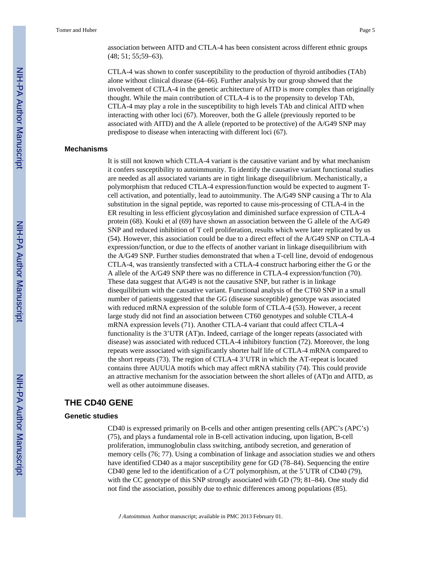association between AITD and CTLA-4 has been consistent across different ethnic groups (48; 51; 55;59–63).

CTLA-4 was shown to confer susceptibility to the production of thyroid antibodies (TAb) alone without clinical disease (64–66). Further analysis by our group showed that the involvement of CTLA-4 in the genetic architecture of AITD is more complex than originally thought. While the main contribution of CTLA-4 is to the propensity to develop TAb, CTLA-4 may play a role in the susceptibility to high levels TAb and clinical AITD when interacting with other loci (67). Moreover, both the G allele (previously reported to be associated with AITD) and the A allele (reported to be protective) of the A/G49 SNP may predispose to disease when interacting with different loci (67).

#### **Mechanisms**

It is still not known which CTLA-4 variant is the causative variant and by what mechanism it confers susceptibility to autoimmunity. To identify the causative variant functional studies are needed as all associated variants are in tight linkage disequilibrium. Mechanistically, a polymorphism that reduced CTLA-4 expression/function would be expected to augment Tcell activation, and potentially, lead to autoimmunity. The A/G49 SNP causing a Thr to Ala substitution in the signal peptide, was reported to cause mis-processing of CTLA-4 in the ER resulting in less efficient glycosylation and diminished surface expression of CTLA-4 protein (68). Kouki et al (69) have shown an association between the G allele of the A/G49 SNP and reduced inhibition of T cell proliferation, results which were later replicated by us (54). However, this association could be due to a direct effect of the A/G49 SNP on CTLA-4 expression/function, or due to the effects of another variant in linkage disequilibrium with the A/G49 SNP. Further studies demonstrated that when a T-cell line, devoid of endogenous CTLA-4, was transiently transfected with a CTLA-4 construct harboring either the G or the A allele of the A/G49 SNP there was no difference in CTLA-4 expression/function (70). These data suggest that A/G49 is not the causative SNP, but rather is in linkage disequilibrium with the causative variant. Functional analysis of the CT60 SNP in a small number of patients suggested that the GG (disease susceptible) genotype was associated with reduced mRNA expression of the soluble form of CTLA-4 (53). However, a recent large study did not find an association between CT60 genotypes and soluble CTLA-4 mRNA expression levels (71). Another CTLA-4 variant that could affect CTLA-4 functionality is the 3'UTR (AT)n. Indeed, carriage of the longer repeats (associated with disease) was associated with reduced CTLA-4 inhibitory function (72). Moreover, the long repeats were associated with significantly shorter half life of CTLA-4 mRNA compared to the short repeats (73). The region of CTLA-4 3'UTR in which the AT-repeat is located contains three AUUUA motifs which may affect mRNA stability (74). This could provide an attractive mechanism for the association between the short alleles of (AT)n and AITD, as well as other autoimmune diseases.

#### **THE CD40 GENE**

#### **Genetic studies**

CD40 is expressed primarily on B-cells and other antigen presenting cells (APC's (APC's) (75), and plays a fundamental role in B-cell activation inducing, upon ligation, B-cell proliferation, immunoglobulin class switching, antibody secretion, and generation of memory cells (76; 77). Using a combination of linkage and association studies we and others have identified CD40 as a major susceptibility gene for GD (78–84). Sequencing the entire CD40 gene led to the identification of a C/T polymorphism, at the 5'UTR of CD40 (79), with the CC genotype of this SNP strongly associated with GD (79; 81–84). One study did not find the association, possibly due to ethnic differences among populations (85).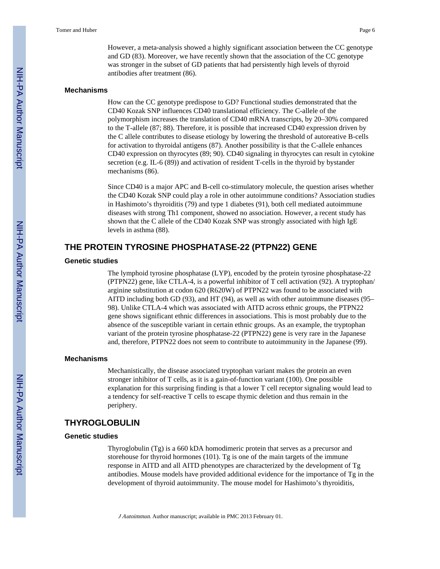However, a meta-analysis showed a highly significant association between the CC genotype and GD (83). Moreover, we have recently shown that the association of the CC genotype was stronger in the subset of GD patients that had persistently high levels of thyroid antibodies after treatment (86).

#### **Mechanisms**

How can the CC genotype predispose to GD? Functional studies demonstrated that the CD40 Kozak SNP influences CD40 translational efficiency. The C-allele of the polymorphism increases the translation of CD40 mRNA transcripts, by 20–30% compared to the T-allele (87; 88). Therefore, it is possible that increased CD40 expression driven by the C allele contributes to disease etiology by lowering the threshold of autoreative B-cells for activation to thyroidal antigens (87). Another possibility is that the C-allele enhances CD40 expression on thyrocytes (89; 90). CD40 signaling in thyrocytes can result in cytokine secretion (e.g. IL-6 (89)) and activation of resident T-cells in the thyroid by bystander mechanisms (86).

Since CD40 is a major APC and B-cell co-stimulatory molecule, the question arises whether the CD40 Kozak SNP could play a role in other autoimmune conditions? Association studies in Hashimoto's thyroiditis (79) and type 1 diabetes (91), both cell mediated autoimmune diseases with strong Th1 component, showed no association. However, a recent study has shown that the C allele of the CD40 Kozak SNP was strongly associated with high IgE levels in asthma (88).

#### **THE PROTEIN TYROSINE PHOSPHATASE-22 (PTPN22) GENE**

#### **Genetic studies**

The lymphoid tyrosine phosphatase (LYP), encoded by the protein tyrosine phosphatase-22 (PTPN22) gene, like CTLA-4, is a powerful inhibitor of T cell activation (92). A tryptophan/ arginine substitution at codon 620 (R620W) of PTPN22 was found to be associated with AITD including both GD (93), and HT (94), as well as with other autoimmune diseases (95– 98). Unlike CTLA-4 which was associated with AITD across ethnic groups, the PTPN22 gene shows significant ethnic differences in associations. This is most probably due to the absence of the susceptible variant in certain ethnic groups. As an example, the tryptophan variant of the protein tyrosine phosphatase-22 (PTPN22) gene is very rare in the Japanese and, therefore, PTPN22 does not seem to contribute to autoimmunity in the Japanese (99).

#### **Mechanisms**

Mechanistically, the disease associated tryptophan variant makes the protein an even stronger inhibitor of T cells, as it is a gain-of-function variant (100). One possible explanation for this surprising finding is that a lower T cell receptor signaling would lead to a tendency for self-reactive T cells to escape thymic deletion and thus remain in the periphery.

#### **THYROGLOBULIN**

#### **Genetic studies**

Thyroglobulin (Tg) is a 660 kDA homodimeric protein that serves as a precursor and storehouse for thyroid hormones (101). Tg is one of the main targets of the immune response in AITD and all AITD phenotypes are characterized by the development of Tg antibodies. Mouse models have provided additional evidence for the importance of Tg in the development of thyroid autoimmunity. The mouse model for Hashimoto's thyroiditis,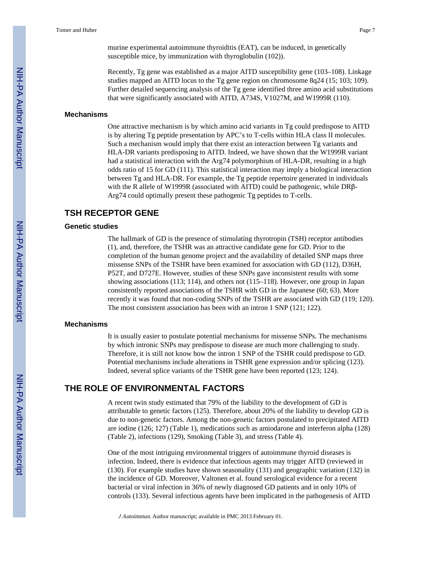murine experimental autoimmune thyroiditis (EAT), can be induced, in genetically susceptible mice, by immunization with thyroglobulin (102)).

Recently, Tg gene was established as a major AITD susceptibility gene (103–108). Linkage studies mapped an AITD locus to the Tg gene region on chromosome 8q24 (15; 103; 109). Further detailed sequencing analysis of the Tg gene identified three amino acid substitutions that were significantly associated with AITD, A734S, V1027M, and W1999R (110).

#### **Mechanisms**

One attractive mechanism is by which amino acid variants in Tg could predispose to AITD is by altering Tg peptide presentation by APC's to T-cells within HLA class II molecules. Such a mechanism would imply that there exist an interaction between Tg variants and HLA-DR variants predisposing to AITD. Indeed, we have shown that the W1999R variant had a statistical interaction with the Arg74 polymorphism of HLA-DR, resulting in a high odds ratio of 15 for GD (111). This statistical interaction may imply a biological interaction between Tg and HLA-DR. For example, the Tg peptide repertoire generated in individuals with the R allele of W1999R (associated with AITD) could be pathogenic, while DRβ-Arg74 could optimally present these pathogenic Tg peptides to T-cells.

#### **TSH RECEPTOR GENE**

#### **Genetic studies**

The hallmark of GD is the presence of stimulating thyrotropin (TSH) receptor antibodies (1), and, therefore, the TSHR was an attractive candidate gene for GD. Prior to the completion of the human genome project and the availability of detailed SNP maps three missense SNPs of the TSHR have been examined for association with GD (112), D36H, P52T, and D727E. However, studies of these SNPs gave inconsistent results with some showing associations (113; 114), and others not (115–118). However, one group in Japan consistently reported associations of the TSHR with GD in the Japanese (60; 63). More recently it was found that non-coding SNPs of the TSHR are associated with GD (119; 120). The most consistent association has been with an intron 1 SNP (121; 122).

#### **Mechanisms**

It is usually easier to postulate potential mechanisms for missense SNPs. The mechanisms by which intronic SNPs may predispose to disease are much more challenging to study. Therefore, it is still not know how the intron 1 SNP of the TSHR could predispose to GD. Potential mechanisms include alterations in TSHR gene expression and/or splicing (123). Indeed, several splice variants of the TSHR gene have been reported (123; 124).

#### **THE ROLE OF ENVIRONMENTAL FACTORS**

A recent twin study estimated that 79% of the liability to the development of GD is attributable to genetic factors (125). Therefore, about 20% of the liability to develop GD is due to non-genetic factors. Among the non-genetic factors postulated to precipitated AITD are iodine (126; 127) (Table 1), medications such as amiodarone and interferon alpha (128) (Table 2), infections (129), Smoking (Table 3), and stress (Table 4).

One of the most intriguing environmental triggers of autoimmune thyroid diseases is infection. Indeed, there is evidence that infectious agents may trigger AITD (reviewed in (130). For example studies have shown seasonality (131) and geographic variation (132) in the incidence of GD. Moreover, Valtonen et al. found serological evidence for a recent bacterial or viral infection in 36% of newly diagnosed GD patients and in only 10% of controls (133). Several infectious agents have been implicated in the pathogenesis of AITD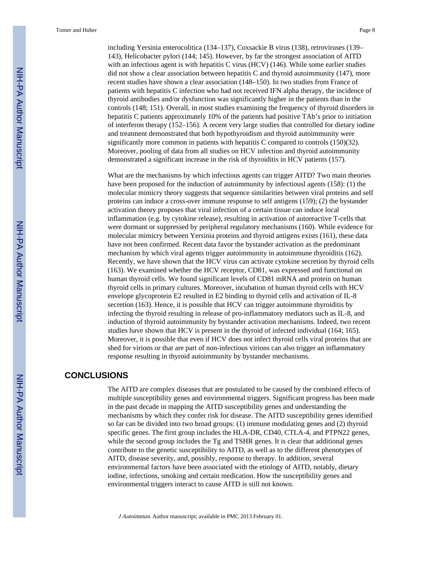Tomer and Huber Page 8

including Yersinia enterocolitica (134–137), Coxsackie B virus (138), retroviruses (139– 143), Helicobacter pylori (144; 145). However, by far the strongest association of AITD with an infectious agent is with hepatitis C virus (HCV) (146). While some earlier studies did not show a clear association between hepatitis C and thyroid autoimmunity (147), more recent studies have shown a clear association (148–150). In two studies from France of patients with hepatitis C infection who had not received IFN alpha therapy, the incidence of thyroid antibodies and/or dysfunction was significantly higher in the patients than in the controls (148; 151). Overall, in most studies examining the frequency of thyroid disorders in hepatitis C patients approximately 10% of the patients had positive TAb's prior to initiation of interferon therapy (152–156). A recent very large studies that controlled for dietary iodine and treatment demonstrated that both hypothyroidism and thyroid autoimmunity were significantly more common in patients with hepatitis C compared to controls (150)(32). Moreover, pooling of data from all studies on HCV infection and thyroid autoimmunity demonstrated a significant increase in the risk of thyroiditis in HCV patients (157).

What are the mechanisms by which infectious agents can trigger AITD? Two main theories have been proposed for the induction of autoimmunity by infectiousl agents (158): (1) the molecular mimicry theory suggests that sequence similarities between viral proteins and self proteins can induce a cross-over immune response to self antigens (159); (2) the bystander activation theory proposes that viral infection of a certain tissue can induce local inflammation (e.g. by cytokine release), resulting in activation of autoreactive T-cells that were dormant or suppressed by peripheral regulatory mechanisms (160). While evidence for molecular mimicry between Yersinia proteins and thyroid antigens exists (161), these data have not been confirmed. Recent data favor the bystander activation as the predominant mechanism by which viral agents trigger autoimmunity in autoimmune thyroiditis (162). Recently, we have shown that the HCV virus can activate cytokine secretion by thyroid cells (163). We examined whether the HCV receptor, CD81, was expressed and functional on human thyroid cells. We found significant levels of CD81 mRNA and protein on human thyroid cells in primary cultures. Moreover, incubation of human thyroid cells with HCV envelope glycoprotein E2 resulted in E2 binding to thyroid cells and activation of IL-8 secretion (163). Hence, it is possible that HCV can trigger autoimmune thyroiditis by infecting the thyroid resulting in release of pro-inflammatory mediators such as IL-8, and induction of thyroid autoimmunity by bystander activation mechanisms. Indeed, two recent studies have shown that HCV is present in the thyroid of infected individual (164; 165). Moreover, it is possible that even if HCV does not infect thyroid cells viral proteins that are shed for virions or that are part of non-infectious virions can also trigger an inflammatory response resulting in thyroid autoimmunity by bystander mechanisms.

#### **CONCLUSIONS**

The AITD are complex diseases that are postulated to be caused by the combined effects of multiple susceptibility genes and environmental triggers. Significant progress has been made in the past decade in mapping the AITD susceptibility genes and understanding the mechanisms by which they confer risk for disease. The AITD susceptibility genes identified so far can be divided into two broad groups: (1) immune modulating genes and (2) thyroid specific genes. The first group includes the HLA-DR, CD40, CTLA-4, and PTPN22 genes, while the second group includes the Tg and TSHR genes. It is clear that additional genes contribute to the genetic susceptibility to AITD, as well as to the different phenotypes of AITD, disease severity, and, possibly, response to therapy. In addition, several environmental factors have been associated with the etiology of AITD, notably, dietary iodine, infections, smoking and certain medication. How the susceptibility genes and environmental triggers interact to cause AITD is still not known.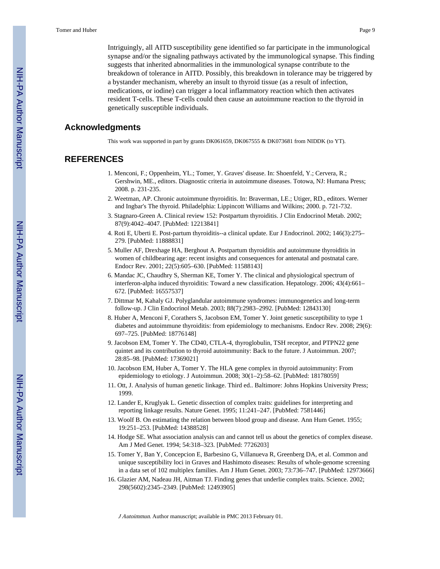Intriguingly, all AITD susceptibility gene identified so far participate in the immunological synapse and/or the signaling pathways activated by the immunological synapse. This finding suggests that inherited abnormalities in the immunological synapse contribute to the breakdown of tolerance in AITD. Possibly, this breakdown in tolerance may be triggered by a bystander mechanism, whereby an insult to thyroid tissue (as a result of infection, medications, or iodine) can trigger a local inflammatory reaction which then activates resident T-cells. These T-cells could then cause an autoimmune reaction to the thyroid in genetically susceptible individuals.

#### **Acknowledgments**

This work was supported in part by grants DK061659, DK067555 & DK073681 from NIDDK (to YT).

#### **REFERENCES**

- 1. Menconi, F.; Oppenheim, YL.; Tomer, Y. Graves' disease. In: Shoenfeld, Y.; Cervera, R.; Gershwin, ME., editors. Diagnostic criteria in autoimmune diseases. Totowa, NJ: Humana Press; 2008. p. 231-235.
- 2. Weetman, AP. Chronic autoimmune thyroiditis. In: Braverman, LE.; Utiger, RD., editors. Werner and Ingbar's The thyroid. Philadelphia: Lippincott Williams and Wilkins; 2000. p. 721-732.
- 3. Stagnaro-Green A. Clinical review 152: Postpartum thyroiditis. J Clin Endocrinol Metab. 2002; 87(9):4042–4047. [PubMed: 12213841]
- 4. Roti E, Uberti E. Post-partum thyroiditis--a clinical update. Eur J Endocrinol. 2002; 146(3):275– 279. [PubMed: 11888831]
- 5. Muller AF, Drexhage HA, Berghout A. Postpartum thyroiditis and autoimmune thyroiditis in women of childbearing age: recent insights and consequences for antenatal and postnatal care. Endocr Rev. 2001; 22(5):605–630. [PubMed: 11588143]
- 6. Mandac JC, Chaudhry S, Sherman KE, Tomer Y. The clinical and physiological spectrum of interferon-alpha induced thyroiditis: Toward a new classification. Hepatology. 2006; 43(4):661– 672. [PubMed: 16557537]
- 7. Dittmar M, Kahaly GJ. Polyglandular autoimmune syndromes: immunogenetics and long-term follow-up. J Clin Endocrinol Metab. 2003; 88(7):2983–2992. [PubMed: 12843130]
- 8. Huber A, Menconi F, Corathers S, Jacobson EM, Tomer Y. Joint genetic susceptibility to type 1 diabetes and autoimmune thyroiditis: from epidemiology to mechanisms. Endocr Rev. 2008; 29(6): 697–725. [PubMed: 18776148]
- 9. Jacobson EM, Tomer Y. The CD40, CTLA-4, thyroglobulin, TSH receptor, and PTPN22 gene quintet and its contribution to thyroid autoimmunity: Back to the future. J Autoimmun. 2007; 28:85–98. [PubMed: 17369021]
- 10. Jacobson EM, Huber A, Tomer Y. The HLA gene complex in thyroid autoimmunity: From epidemiology to etiology. J Autoimmun. 2008; 30(1–2):58–62. [PubMed: 18178059]
- 11. Ott, J. Analysis of human genetic linkage. Third ed.. Baltimore: Johns Hopkins University Press; 1999.
- 12. Lander E, Kruglyak L. Genetic dissection of complex traits: guidelines for interpreting and reporting linkage results. Nature Genet. 1995; 11:241–247. [PubMed: 7581446]
- 13. Woolf B. On estimating the relation between blood group and disease. Ann Hum Genet. 1955; 19:251–253. [PubMed: 14388528]
- 14. Hodge SE. What association analysis can and cannot tell us about the genetics of complex disease. Am J Med Genet. 1994; 54:318–323. [PubMed: 7726203]
- 15. Tomer Y, Ban Y, Concepcion E, Barbesino G, Villanueva R, Greenberg DA, et al. Common and unique susceptibility loci in Graves and Hashimoto diseases: Results of whole-genome screening in a data set of 102 multiplex families. Am J Hum Genet. 2003; 73:736–747. [PubMed: 12973666]
- 16. Glazier AM, Nadeau JH, Aitman TJ. Finding genes that underlie complex traits. Science. 2002; 298(5602):2345–2349. [PubMed: 12493905]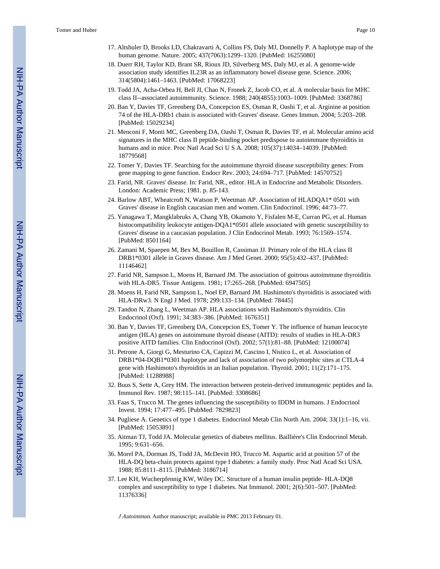- 17. Altshuler D, Brooks LD, Chakravarti A, Collins FS, Daly MJ, Donnelly P. A haplotype map of the human genome. Nature. 2005; 437(7063):1299–1320. [PubMed: 16255080]
- 18. Duerr RH, Taylor KD, Brant SR, Rioux JD, Silverberg MS, Daly MJ, et al. A genome-wide association study identifies IL23R as an inflammatory bowel disease gene. Science. 2006; 314(5804):1461–1463. [PubMed: 17068223]
- 19. Todd JA, Acha-Orbea H, Bell JI, Chao N, Fronek Z, Jacob CO, et al. A molecular basis for MHC class II--associated autoimmunity. Science. 1988; 240(4855):1003–1009. [PubMed: 3368786]
- 20. Ban Y, Davies TF, Greenberg DA, Concepcion ES, Osman R, Oashi T, et al. Arginine at position 74 of the HLA-DRb1 chain is associated with Graves' disease. Genes Immun. 2004; 5:203–208. [PubMed: 15029234]
- 21. Menconi F, Monti MC, Greenberg DA, Oashi T, Osman R, Davies TF, et al. Molecular amino acid signatures in the MHC class II peptide-binding pocket predispose to autoimmune thyroiditis in humans and in mice. Proc Natl Acad Sci U S A. 2008; 105(37):14034–14039. [PubMed: 18779568]
- 22. Tomer Y, Davies TF. Searching for the autoimmune thyroid disease susceptibility genes: From gene mapping to gene function. Endocr Rev. 2003; 24:694–717. [PubMed: 14570752]
- 23. Farid, NR. Graves' disease. In: Farid, NR., editor. HLA in Endocrine and Metabolic Disorders. London: Academic Press; 1981. p. 85-143.
- 24. Barlow ABT, Wheatcroft N, Watson P, Weetman AP. Association of HLADQA1\* 0501 with Graves' disease in English caucasian men and women. Clin Endocrinol. 1996; 44:73–77.
- 25. Yanagawa T, Mangklabruks A, Chang YB, Okamoto Y, Fisfalen M-E, Curran PG, et al. Human histocompatibility leukocyte antigen-DQA1\*0501 allele associated with genetic susceptibility to Graves' disease in a caucasian population. J Clin Endocrinol Metab. 1993; 76:1569–1574. [PubMed: 8501164]
- 26. Zamani M, Spaepen M, Bex M, Bouillon R, Cassiman JJ. Primary role of the HLA class II DRB1\*0301 allele in Graves disease. Am J Med Genet. 2000; 95(5):432–437. [PubMed: 11146462]
- 27. Farid NR, Sampson L, Moens H, Barnard JM. The association of goitrous autoimmune thyroiditis with HLA-DR5. Tissue Antigens. 1981; 17:265–268. [PubMed: 6947505]
- 28. Moens H, Farid NR, Sampson L, Noel EP, Barnard JM. Hashimoto's thyroiditis is associated with HLA-DRw3. N Engl J Med. 1978; 299:133–134. [PubMed: 78445]
- 29. Tandon N, Zhang L, Weetman AP. HLA associations with Hashimoto's thyroiditis. Clin Endocrinol (Oxf). 1991; 34:383–386. [PubMed: 1676351]
- 30. Ban Y, Davies TF, Greenberg DA, Concepcion ES, Tomer Y. The influence of human leucocyte antigen (HLA) genes on autoimmune thyroid disease (AITD): results of studies in HLA-DR3 positive AITD families. Clin Endocrinol (Oxf). 2002; 57(1):81–88. [PubMed: 12100074]
- 31. Petrone A, Giorgi G, Mesturino CA, Capizzi M, Cascino I, Nistico L, et al. Association of DRB1\*04-DQB1\*0301 haplotype and lack of association of two polymorphic sites at CTLA-4 gene with Hashimoto's thyroiditis in an Italian population. Thyroid. 2001; 11(2):171–175. [PubMed: 11288988]
- 32. Buus S, Sette A, Grey HM. The interaction between protein-derived immunogenic peptides and Ia. Immunol Rev. 1987; 98:115–141. [PubMed: 3308686]
- 33. Faas S, Trucco M. The genes influencing the susceptibility to IDDM in humans. J Endocrinol Invest. 1994; 17:477–495. [PubMed: 7829823]
- 34. Pugliese A. Genetics of type 1 diabetes. Endocrinol Metab Clin North Am. 2004; 33(1):1–16, vii. [PubMed: 15053891]
- 35. Aitman TJ, Todd JA. Molecular genetics of diabetes mellitus. Baillière's Clin Endocrinol Metab. 1995; 9:631–656.
- 36. Morel PA, Dorman JS, Todd JA, McDevitt HO, Trucco M. Aspartic acid at position 57 of the HLA-DQ beta-chain protects against type I diabetes: a family study. Proc Natl Acad Sci USA. 1988; 85:8111–8115. [PubMed: 3186714]
- 37. Lee KH, Wucherpfennig KW, Wiley DC. Structure of a human insulin peptide- HLA-DQ8 complex and susceptibility to type 1 diabetes. Nat Immunol. 2001; 2(6):501–507. [PubMed: 11376336]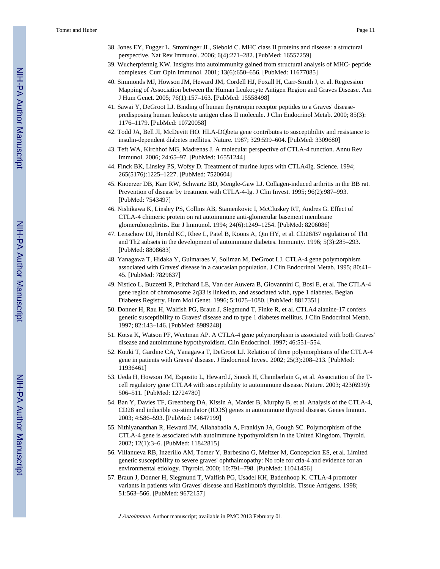- 38. Jones EY, Fugger L, Strominger JL, Siebold C. MHC class II proteins and disease: a structural perspective. Nat Rev Immunol. 2006; 6(4):271–282. [PubMed: 16557259]
- 39. Wucherpfennig KW. Insights into autoimmunity gained from structural analysis of MHC- peptide complexes. Curr Opin Immunol. 2001; 13(6):650–656. [PubMed: 11677085]
- 40. Simmonds MJ, Howson JM, Heward JM, Cordell HJ, Foxall H, Carr-Smith J, et al. Regression Mapping of Association between the Human Leukocyte Antigen Region and Graves Disease. Am J Hum Genet. 2005; 76(1):157–163. [PubMed: 15558498]
- 41. Sawai Y, DeGroot LJ. Binding of human thyrotropin receptor peptides to a Graves' diseasepredisposing human leukocyte antigen class II molecule. J Clin Endocrinol Metab. 2000; 85(3): 1176–1179. [PubMed: 10720058]
- 42. Todd JA, Bell JI, McDevitt HO. HLA-DQbeta gene contributes to susceptibility and resistance to insulin-dependent diabetes mellitus. Nature. 1987; 329:599–604. [PubMed: 3309680]
- 43. Teft WA, Kirchhof MG, Madrenas J. A molecular perspective of CTLA-4 function. Annu Rev Immunol. 2006; 24:65–97. [PubMed: 16551244]
- 44. Finck BK, Linsley PS, Wofsy D. Treatment of murine lupus with CTLA4Ig. Science. 1994; 265(5176):1225–1227. [PubMed: 7520604]
- 45. Knoerzer DB, Karr RW, Schwartz BD, Mengle-Gaw LJ. Collagen-induced arthritis in the BB rat. Prevention of disease by treatment with CTLA-4-Ig. J Clin Invest. 1995; 96(2):987–993. [PubMed: 7543497]
- 46. Nishikawa K, Linsley PS, Collins AB, Stamenkovic I, McCluskey RT, Andres G. Effect of CTLA-4 chimeric protein on rat autoimmune anti-glomerular basement membrane glomerulonephritis. Eur J Immunol. 1994; 24(6):1249–1254. [PubMed: 8206086]
- 47. Lenschow DJ, Herold KC, Rhee L, Patel B, Koons A, Qin HY, et al. CD28/B7 regulation of Th1 and Th2 subsets in the development of autoimmune diabetes. Immunity. 1996; 5(3):285–293. [PubMed: 8808683]
- 48. Yanagawa T, Hidaka Y, Guimaraes V, Soliman M, DeGroot LJ. CTLA-4 gene polymorphism associated with Graves' disease in a caucasian population. J Clin Endocrinol Metab. 1995; 80:41– 45. [PubMed: 7829637]
- 49. Nistico L, Buzzetti R, Pritchard LE, Van der Auwera B, Giovannini C, Bosi E, et al. The CTLA-4 gene region of chromosome 2q33 is linked to, and associated with, type 1 diabetes. Begian Diabetes Registry. Hum Mol Genet. 1996; 5:1075–1080. [PubMed: 8817351]
- 50. Donner H, Rau H, Walfish PG, Braun J, Siegmund T, Finke R, et al. CTLA4 alanine-17 confers genetic susceptibility to Graves' disease and to type 1 diabetes mellitus. J Clin Endocrinol Metab. 1997; 82:143–146. [PubMed: 8989248]
- 51. Kotsa K, Watson PF, Weetman AP. A CTLA-4 gene polymorphism is associated with both Graves' disease and autoimmune hypothyroidism. Clin Endocrinol. 1997; 46:551–554.
- 52. Kouki T, Gardine CA, Yanagawa T, DeGroot LJ. Relation of three polymorphisms of the CTLA-4 gene in patients with Graves' disease. J Endocrinol Invest. 2002; 25(3):208–213. [PubMed: 11936461]
- 53. Ueda H, Howson JM, Esposito L, Heward J, Snook H, Chamberlain G, et al. Association of the Tcell regulatory gene CTLA4 with susceptibility to autoimmune disease. Nature. 2003; 423(6939): 506–511. [PubMed: 12724780]
- 54. Ban Y, Davies TF, Greenberg DA, Kissin A, Marder B, Murphy B, et al. Analysis of the CTLA-4, CD28 and inducible co-stimulator (ICOS) genes in autoimmune thyroid disease. Genes Immun. 2003; 4:586–593. [PubMed: 14647199]
- 55. Nithiyananthan R, Heward JM, Allahabadia A, Franklyn JA, Gough SC. Polymorphism of the CTLA-4 gene is associated with autoimmune hypothyroidism in the United Kingdom. Thyroid. 2002; 12(1):3–6. [PubMed: 11842815]
- 56. Villanueva RB, Inzerillo AM, Tomer Y, Barbesino G, Meltzer M, Concepcion ES, et al. Limited genetic susceptibility to severe graves' ophthalmopathy: No role for ctla-4 and evidence for an environmental etiology. Thyroid. 2000; 10:791–798. [PubMed: 11041456]
- 57. Braun J, Donner H, Siegmund T, Walfish PG, Usadel KH, Badenhoop K. CTLA-4 promoter variants in patients with Graves' disease and Hashimoto's thyroiditis. Tissue Antigens. 1998; 51:563–566. [PubMed: 9672157]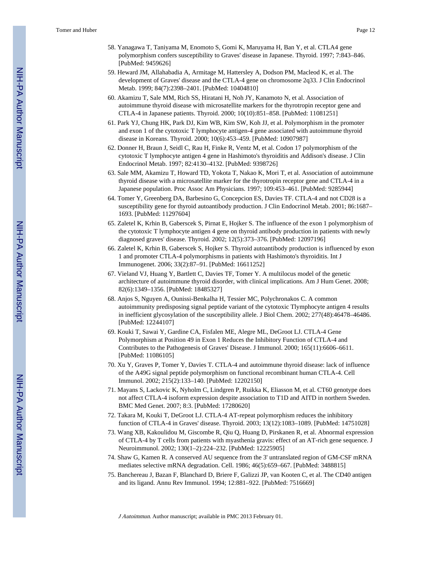- 58. Yanagawa T, Taniyama M, Enomoto S, Gomi K, Maruyama H, Ban Y, et al. CTLA4 gene polymorphism confers susceptibility to Graves' disease in Japanese. Thyroid. 1997; 7:843–846. [PubMed: 9459626]
- 59. Heward JM, Allahabadia A, Armitage M, Hattersley A, Dodson PM, Macleod K, et al. The development of Graves' disease and the CTLA-4 gene on chromosome 2q33. J Clin Endocrinol Metab. 1999; 84(7):2398–2401. [PubMed: 10404810]
- 60. Akamizu T, Sale MM, Rich SS, Hiratani H, Noh JY, Kanamoto N, et al. Association of autoimmune thyroid disease with microsatellite markers for the thyrotropin receptor gene and CTLA-4 in Japanese patients. Thyroid. 2000; 10(10):851–858. [PubMed: 11081251]
- 61. Park YJ, Chung HK, Park DJ, Kim WB, Kim SW, Koh JJ, et al. Polymorphism in the promoter and exon 1 of the cytotoxic T lymphocyte antigen-4 gene associated with autoimmune thyroid disease in Koreans. Thyroid. 2000; 10(6):453–459. [PubMed: 10907987]
- 62. Donner H, Braun J, Seidl C, Rau H, Finke R, Ventz M, et al. Codon 17 polymorphism of the cytotoxic T lymphocyte antigen 4 gene in Hashimoto's thyroiditis and Addison's disease. J Clin Endocrinol Metab. 1997; 82:4130–4132. [PubMed: 9398726]
- 63. Sale MM, Akamizu T, Howard TD, Yokota T, Nakao K, Mori T, et al. Association of autoimmune thyroid disease with a microsatellite marker for the thyrotropin receptor gene and CTLA-4 in a Japanese population. Proc Assoc Am Physicians. 1997; 109:453–461. [PubMed: 9285944]
- 64. Tomer Y, Greenberg DA, Barbesino G, Concepcion ES, Davies TF. CTLA-4 and not CD28 is a susceptibility gene for thyroid autoantibody production. J Clin Endocrinol Metab. 2001; 86:1687– 1693. [PubMed: 11297604]
- 65. Zaletel K, Krhin B, Gaberscek S, Pirnat E, Hojker S. The influence of the exon 1 polymorphism of the cytotoxic T lymphocyte antigen 4 gene on thyroid antibody production in patients with newly diagnosed graves' disease. Thyroid. 2002; 12(5):373–376. [PubMed: 12097196]
- 66. Zaletel K, Krhin B, Gaberscek S, Hojker S. Thyroid autoantibody production is influenced by exon 1 and promoter CTLA-4 polymorphisms in patients with Hashimoto's thyroiditis. Int J Immunogenet. 2006; 33(2):87–91. [PubMed: 16611252]
- 67. Vieland VJ, Huang Y, Bartlett C, Davies TF, Tomer Y. A multilocus model of the genetic architecture of autoimmune thyroid disorder, with clinical implications. Am J Hum Genet. 2008; 82(6):1349–1356. [PubMed: 18485327]
- 68. Anjos S, Nguyen A, Ounissi-Benkalha H, Tessier MC, Polychronakos C. A common autoimmunity predisposing signal peptide variant of the cytotoxic Tlymphocyte antigen 4 results in inefficient glycosylation of the susceptibility allele. J Biol Chem. 2002; 277(48):46478–46486. [PubMed: 12244107]
- 69. Kouki T, Sawai Y, Gardine CA, Fisfalen ME, Alegre ML, DeGroot LJ. CTLA-4 Gene Polymorphism at Position 49 in Exon 1 Reduces the Inhibitory Function of CTLA-4 and Contributes to the Pathogenesis of Graves' Disease. J Immunol. 2000; 165(11):6606–6611. [PubMed: 11086105]
- 70. Xu Y, Graves P, Tomer Y, Davies T. CTLA-4 and autoimmune thyroid disease: lack of influence of the A49G signal peptide polymorphism on functional recombinant human CTLA-4. Cell Immunol. 2002; 215(2):133–140. [PubMed: 12202150]
- 71. Mayans S, Lackovic K, Nyholm C, Lindgren P, Ruikka K, Eliasson M, et al. CT60 genotype does not affect CTLA-4 isoform expression despite association to T1D and AITD in northern Sweden. BMC Med Genet. 2007; 8:3. [PubMed: 17280620]
- 72. Takara M, Kouki T, DeGroot LJ. CTLA-4 AT-repeat polymorphism reduces the inhibitory function of CTLA-4 in Graves' disease. Thyroid. 2003; 13(12):1083–1089. [PubMed: 14751028]
- 73. Wang XB, Kakoulidou M, Giscombe R, Qiu Q, Huang D, Pirskanen R, et al. Abnormal expression of CTLA-4 by T cells from patients with myasthenia gravis: effect of an AT-rich gene sequence. J Neuroimmunol. 2002; 130(1–2):224–232. [PubMed: 12225905]
- 74. Shaw G, Kamen R. A conserved AU sequence from the 3' untranslated region of GM-CSF mRNA mediates selective mRNA degradation. Cell. 1986; 46(5):659–667. [PubMed: 3488815]
- 75. Banchereau J, Bazan F, Blanchard D, Briere F, Galizzi JP, van Kooten C, et al. The CD40 antigen and its ligand. Annu Rev Immunol. 1994; 12:881–922. [PubMed: 7516669]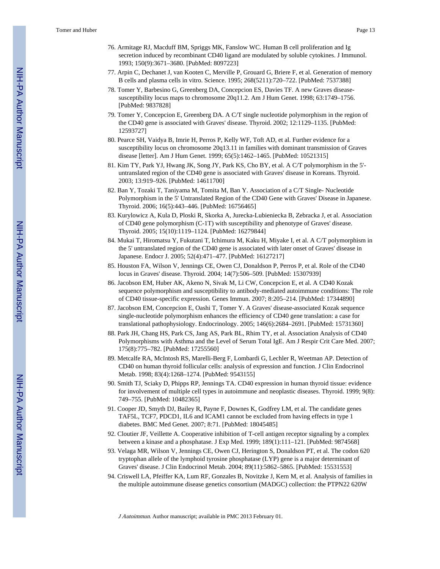- 76. Armitage RJ, Macduff BM, Spriggs MK, Fanslow WC. Human B cell proliferation and Ig secretion induced by recombinant CD40 ligand are modulated by soluble cytokines. J Immunol. 1993; 150(9):3671–3680. [PubMed: 8097223]
- 77. Arpin C, Dechanet J, van Kooten C, Merville P, Grouard G, Briere F, et al. Generation of memory B cells and plasma cells in vitro. Science. 1995; 268(5211):720–722. [PubMed: 7537388]
- 78. Tomer Y, Barbesino G, Greenberg DA, Concepcion ES, Davies TF. A new Graves diseasesusceptibility locus maps to chromosome 20q11.2. Am J Hum Genet. 1998; 63:1749–1756. [PubMed: 9837828]
- 79. Tomer Y, Concepcion E, Greenberg DA. A C/T single nucleotide polymorphism in the region of the CD40 gene is associated with Graves' disease. Thyroid. 2002; 12:1129–1135. [PubMed: 12593727]
- 80. Pearce SH, Vaidya B, Imrie H, Perros P, Kelly WF, Toft AD, et al. Further evidence for a susceptibility locus on chromosome 20q13.11 in families with dominant transmission of Graves disease [letter]. Am J Hum Genet. 1999; 65(5):1462–1465. [PubMed: 10521315]
- 81. Kim TY, Park YJ, Hwang JK, Song JY, Park KS, Cho BY, et al. A C/T polymorphism in the 5' untranslated region of the CD40 gene is associated with Graves' disease in Koreans. Thyroid. 2003; 13:919–926. [PubMed: 14611700]
- 82. Ban Y, Tozaki T, Taniyama M, Tomita M, Ban Y. Association of a C/T Single- Nucleotide Polymorphism in the 5' Untranslated Region of the CD40 Gene with Graves' Disease in Japanese. Thyroid. 2006; 16(5):443–446. [PubMed: 16756465]
- 83. Kurylowicz A, Kula D, Ploski R, Skorka A, Jurecka-Lubieniecka B, Zebracka J, et al. Association of CD40 gene polymorphism (C-1T) with susceptibility and phenotype of Graves' disease. Thyroid. 2005; 15(10):1119–1124. [PubMed: 16279844]
- 84. Mukai T, Hiromatsu Y, Fukutani T, Ichimura M, Kaku H, Miyake I, et al. A C/T polymorphism in the 5' untranslated region of the CD40 gene is associated with later onset of Graves' disease in Japanese. Endocr J. 2005; 52(4):471–477. [PubMed: 16127217]
- 85. Houston FA, Wilson V, Jennings CE, Owen CJ, Donaldson P, Perros P, et al. Role of the CD40 locus in Graves' disease. Thyroid. 2004; 14(7):506–509. [PubMed: 15307939]
- 86. Jacobson EM, Huber AK, Akeno N, Sivak M, Li CW, Concepcion E, et al. A CD40 Kozak sequence polymorphism and susceptibility to antibody-mediated autoimmune conditions: The role of CD40 tissue-specific expression. Genes Immun. 2007; 8:205–214. [PubMed: 17344890]
- 87. Jacobson EM, Concepcion E, Oashi T, Tomer Y. A Graves' disease-associated Kozak sequence single-nucleotide polymorphism enhances the efficiency of CD40 gene translation: a case for translational pathophysiology. Endocrinology. 2005; 146(6):2684–2691. [PubMed: 15731360]
- 88. Park JH, Chang HS, Park CS, Jang AS, Park BL, Rhim TY, et al. Association Analysis of CD40 Polymorphisms with Asthma and the Level of Serum Total IgE. Am J Respir Crit Care Med. 2007; 175(8):775–782. [PubMed: 17255560]
- 89. Metcalfe RA, McIntosh RS, Marelli-Berg F, Lombardi G, Lechler R, Weetman AP. Detection of CD40 on human thyroid follicular cells: analysis of expression and function. J Clin Endocrinol Metab. 1998; 83(4):1268–1274. [PubMed: 9543155]
- 90. Smith TJ, Sciaky D, Phipps RP, Jennings TA. CD40 expression in human thyroid tissue: evidence for involvement of multiple cell types in autoimmune and neoplastic diseases. Thyroid. 1999; 9(8): 749–755. [PubMed: 10482365]
- 91. Cooper JD, Smyth DJ, Bailey R, Payne F, Downes K, Godfrey LM, et al. The candidate genes TAF5L, TCF7, PDCD1, IL6 and ICAM1 cannot be excluded from having effects in type 1 diabetes. BMC Med Genet. 2007; 8:71. [PubMed: 18045485]
- 92. Cloutier JF, Veillette A. Cooperative inhibition of T-cell antigen receptor signaling by a complex between a kinase and a phosphatase. J Exp Med. 1999; 189(1):111–121. [PubMed: 9874568]
- 93. Velaga MR, Wilson V, Jennings CE, Owen CJ, Herington S, Donaldson PT, et al. The codon 620 tryptophan allele of the lymphoid tyrosine phosphatase (LYP) gene is a major determinant of Graves' disease. J Clin Endocrinol Metab. 2004; 89(11):5862–5865. [PubMed: 15531553]
- 94. Criswell LA, Pfeiffer KA, Lum RF, Gonzales B, Novitzke J, Kern M, et al. Analysis of families in the multiple autoimmune disease genetics consortium (MADGC) collection: the PTPN22 620W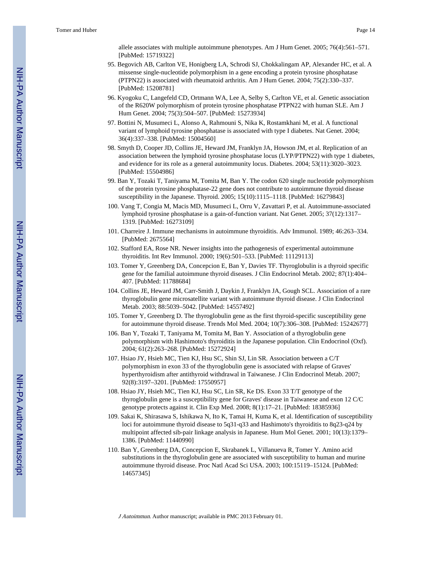allele associates with multiple autoimmune phenotypes. Am J Hum Genet. 2005; 76(4):561–571. [PubMed: 15719322]

- 95. Begovich AB, Carlton VE, Honigberg LA, Schrodi SJ, Chokkalingam AP, Alexander HC, et al. A missense single-nucleotide polymorphism in a gene encoding a protein tyrosine phosphatase (PTPN22) is associated with rheumatoid arthritis. Am J Hum Genet. 2004; 75(2):330–337. [PubMed: 15208781]
- 96. Kyogoku C, Langefeld CD, Ortmann WA, Lee A, Selby S, Carlton VE, et al. Genetic association of the R620W polymorphism of protein tyrosine phosphatase PTPN22 with human SLE. Am J Hum Genet. 2004; 75(3):504–507. [PubMed: 15273934]
- 97. Bottini N, Musumeci L, Alonso A, Rahmouni S, Nika K, Rostamkhani M, et al. A functional variant of lymphoid tyrosine phosphatase is associated with type I diabetes. Nat Genet. 2004; 36(4):337–338. [PubMed: 15004560]
- 98. Smyth D, Cooper JD, Collins JE, Heward JM, Franklyn JA, Howson JM, et al. Replication of an association between the lymphoid tyrosine phosphatase locus (LYP/PTPN22) with type 1 diabetes, and evidence for its role as a general autoimmunity locus. Diabetes. 2004; 53(11):3020–3023. [PubMed: 15504986]
- 99. Ban Y, Tozaki T, Taniyama M, Tomita M, Ban Y. The codon 620 single nucleotide polymorphism of the protein tyrosine phosphatase-22 gene does not contribute to autoimmune thyroid disease susceptibility in the Japanese. Thyroid. 2005; 15(10):1115–1118. [PubMed: 16279843]
- 100. Vang T, Congia M, Macis MD, Musumeci L, Orru V, Zavattari P, et al. Autoimmune-associated lymphoid tyrosine phosphatase is a gain-of-function variant. Nat Genet. 2005; 37(12):1317– 1319. [PubMed: 16273109]
- 101. Charreire J. Immune mechanisms in autoimmune thyroiditis. Adv Immunol. 1989; 46:263–334. [PubMed: 2675564]
- 102. Stafford EA, Rose NR. Newer insights into the pathogenesis of experimental autoimmune thyroiditis. Int Rev Immunol. 2000; 19(6):501–533. [PubMed: 11129113]
- 103. Tomer Y, Greenberg DA, Concepcion E, Ban Y, Davies TF. Thyroglobulin is a thyroid specific gene for the familial autoimmune thyroid diseases. J Clin Endocrinol Metab. 2002; 87(1):404– 407. [PubMed: 11788684]
- 104. Collins JE, Heward JM, Carr-Smith J, Daykin J, Franklyn JA, Gough SCL. Association of a rare thyroglobulin gene microsatellite variant with autoimmune thyroid disease. J Clin Endocrinol Metab. 2003; 88:5039–5042. [PubMed: 14557492]
- 105. Tomer Y, Greenberg D. The thyroglobulin gene as the first thyroid-specific susceptibility gene for autoimmune thyroid disease. Trends Mol Med. 2004; 10(7):306–308. [PubMed: 15242677]
- 106. Ban Y, Tozaki T, Taniyama M, Tomita M, Ban Y. Association of a thyroglobulin gene polymorphism with Hashimoto's thyroiditis in the Japanese population. Clin Endocrinol (Oxf). 2004; 61(2):263–268. [PubMed: 15272924]
- 107. Hsiao JY, Hsieh MC, Tien KJ, Hsu SC, Shin SJ, Lin SR. Association between a C/T polymorphism in exon 33 of the thyroglobulin gene is associated with relapse of Graves' hyperthyroidism after antithyroid withdrawal in Taiwanese. J Clin Endocrinol Metab. 2007; 92(8):3197–3201. [PubMed: 17550957]
- 108. Hsiao JY, Hsieh MC, Tien KJ, Hsu SC, Lin SR, Ke DS. Exon 33 T/T genotype of the thyroglobulin gene is a susceptibility gene for Graves' disease in Taiwanese and exon 12 C/C genotype protects against it. Clin Exp Med. 2008; 8(1):17–21. [PubMed: 18385936]
- 109. Sakai K, Shirasawa S, Ishikawa N, Ito K, Tamai H, Kuma K, et al. Identification of susceptibility loci for autoimmune thyroid disease to 5q31-q33 and Hashimoto's thyroiditis to 8q23-q24 by multipoint affected sib-pair linkage analysis in Japanese. Hum Mol Genet. 2001; 10(13):1379– 1386. [PubMed: 11440990]
- 110. Ban Y, Greenberg DA, Concepcion E, Skrabanek L, Villanueva R, Tomer Y. Amino acid substitutions in the thyroglobulin gene are associated with susceptibility to human and murine autoimmune thyroid disease. Proc Natl Acad Sci USA. 2003; 100:15119–15124. [PubMed: 14657345]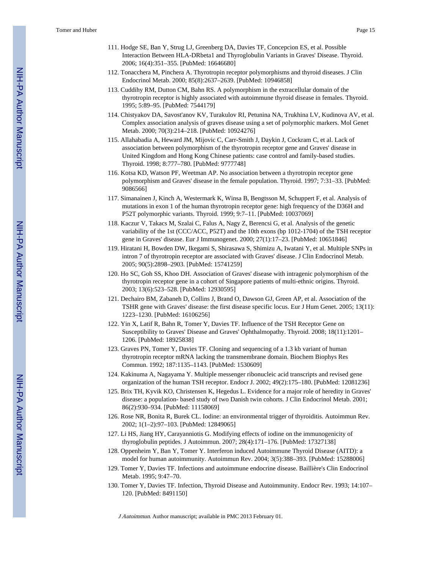- 111. Hodge SE, Ban Y, Strug LJ, Greenberg DA, Davies TF, Concepcion ES, et al. Possible Interaction Between HLA-DRbeta1 and Thyroglobulin Variants in Graves' Disease. Thyroid. 2006; 16(4):351–355. [PubMed: 16646680]
- 112. Tonacchera M, Pinchera A. Thyrotropin receptor polymorphisms and thyroid diseases. J Clin Endocrinol Metab. 2000; 85(8):2637–2639. [PubMed: 10946858]
- 113. Cuddihy RM, Dutton CM, Bahn RS. A polymorphism in the extracellular domain of the thyrotropin receptor is highly associated with autoimmune thyroid disease in females. Thyroid. 1995; 5:89–95. [PubMed: 7544179]
- 114. Chistyakov DA, Savost'anov KV, Turakulov RI, Petunina NA, Trukhina LV, Kudinova AV, et al. Complex association analysis of graves disease using a set of polymorphic markers. Mol Genet Metab. 2000; 70(3):214–218. [PubMed: 10924276]
- 115. Allahabadia A, Heward JM, Mijovic C, Carr-Smith J, Daykin J, Cockram C, et al. Lack of association between polymorphism of the thyrotropin receptor gene and Graves' disease in United Kingdom and Hong Kong Chinese patients: case control and family-based studies. Thyroid. 1998; 8:777–780. [PubMed: 9777748]
- 116. Kotsa KD, Watson PF, Weetman AP. No association between a thyrotropin receptor gene polymorphism and Graves' disease in the female population. Thyroid. 1997; 7:31–33. [PubMed: 9086566]
- 117. Simanainen J, Kinch A, Westermark K, Winsa B, Bengtsson M, Schuppert F, et al. Analysis of mutations in exon 1 of the human thyrotropin receptor gene: high frequency of the D36H and P52T polymorphic variants. Thyroid. 1999; 9:7–11. [PubMed: 10037069]
- 118. Kaczur V, Takacs M, Szalai C, Falus A, Nagy Z, Berencsi G, et al. Analysis of the genetic variability of the 1st (CCC/ACC, P52T) and the 10th exons (bp 1012-1704) of the TSH receptor gene in Graves' disease. Eur J Immunogenet. 2000; 27(1):17–23. [PubMed: 10651846]
- 119. Hiratani H, Bowden DW, Ikegami S, Shirasawa S, Shimizu A, Iwatani Y, et al. Multiple SNPs in intron 7 of thyrotropin receptor are associated with Graves' disease. J Clin Endocrinol Metab. 2005; 90(5):2898–2903. [PubMed: 15741259]
- 120. Ho SC, Goh SS, Khoo DH. Association of Graves' disease with intragenic polymorphism of the thyrotropin receptor gene in a cohort of Singapore patients of multi-ethnic origins. Thyroid. 2003; 13(6):523–528. [PubMed: 12930595]
- 121. Dechairo BM, Zabaneh D, Collins J, Brand O, Dawson GJ, Green AP, et al. Association of the TSHR gene with Graves' disease: the first disease specific locus. Eur J Hum Genet. 2005; 13(11): 1223–1230. [PubMed: 16106256]
- 122. Yin X, Latif R, Bahn R, Tomer Y, Davies TF. Influence of the TSH Receptor Gene on Susceptibility to Graves' Disease and Graves' Ophthalmopathy. Thyroid. 2008; 18(11):1201– 1206. [PubMed: 18925838]
- 123. Graves PN, Tomer Y, Davies TF. Cloning and sequencing of a 1.3 kb variant of human thyrotropin receptor mRNA lacking the transmembrane domain. Biochem Biophys Res Commun. 1992; 187:1135–1143. [PubMed: 1530609]
- 124. Kakinuma A, Nagayama Y. Multiple messenger ribonucleic acid transcripts and revised gene organization of the human TSH receptor. Endocr J. 2002; 49(2):175–180. [PubMed: 12081236]
- 125. Brix TH, Kyvik KO, Christensen K, Hegedus L. Evidence for a major role of heredity in Graves' disease: a population- based study of two Danish twin cohorts. J Clin Endocrinol Metab. 2001; 86(2):930–934. [PubMed: 11158069]
- 126. Rose NR, Bonita R, Burek CL. Iodine: an environmental trigger of thyroiditis. Autoimmun Rev. 2002; 1(1–2):97–103. [PubMed: 12849065]
- 127. Li HS, Jiang HY, Carayanniotis G. Modifying effects of iodine on the immunogenicity of thyroglobulin peptides. J Autoimmun. 2007; 28(4):171–176. [PubMed: 17327138]
- 128. Oppenheim Y, Ban Y, Tomer Y. Interferon induced Autoimmune Thyroid Disease (AITD): a model for human autoimmunity. Autoimmun Rev. 2004; 3(5):388–393. [PubMed: 15288006]
- 129. Tomer Y, Davies TF. Infections and autoimmune endocrine disease. Baillière's Clin Endocrinol Metab. 1995; 9:47–70.
- 130. Tomer Y, Davies TF. Infection, Thyroid Disease and Autoimmunity. Endocr Rev. 1993; 14:107– 120. [PubMed: 8491150]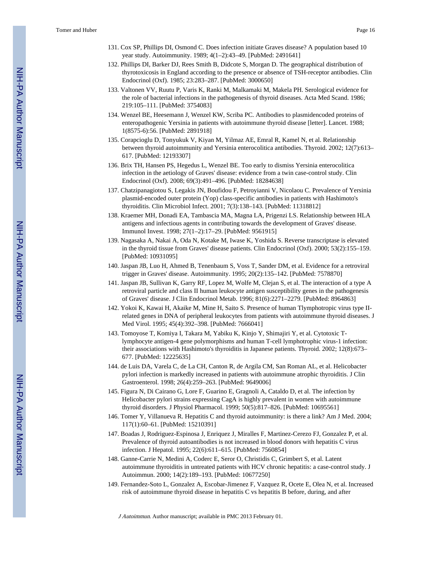- 131. Cox SP, Phillips DI, Osmond C. Does infection initiate Graves disease? A population based 10 year study. Autoimmunity. 1989; 4(1–2):43–49. [PubMed: 2491641]
- 132. Phillips DI, Barker DJ, Rees Smith B, Didcote S, Morgan D. The geographical distribution of thyrotoxicosis in England according to the presence or absence of TSH-receptor antibodies. Clin Endocrinol (Oxf). 1985; 23:283–287. [PubMed: 3000650]
- 133. Valtonen VV, Ruutu P, Varis K, Ranki M, Malkamaki M, Makela PH. Serological evidence for the role of bacterial infections in the pathogenesis of thyroid diseases. Acta Med Scand. 1986; 219:105–111. [PubMed: 3754083]
- 134. Wenzel BE, Heesemann J, Wenzel KW, Scriba PC. Antibodies to plasmidencoded proteins of enteropathogenic Yersinia in patients with autoimmune thyroid disease [letter]. Lancet. 1988; 1(8575-6):56. [PubMed: 2891918]
- 135. Corapcioglu D, Tonyukuk V, Kiyan M, Yilmaz AE, Emral R, Kamel N, et al. Relationship between thyroid autoimmunity and Yersinia enterocolitica antibodies. Thyroid. 2002; 12(7):613– 617. [PubMed: 12193307]
- 136. Brix TH, Hansen PS, Hegedus L, Wenzel BE. Too early to dismiss Yersinia enterocolitica infection in the aetiology of Graves' disease: evidence from a twin case-control study. Clin Endocrinol (Oxf). 2008; 69(3):491–496. [PubMed: 18284638]
- 137. Chatzipanagiotou S, Legakis JN, Boufidou F, Petroyianni V, Nicolaou C. Prevalence of Yersinia plasmid-encoded outer protein (Yop) class-specific antibodies in patients with Hashimoto's thyroiditis. Clin Microbiol Infect. 2001; 7(3):138–143. [PubMed: 11318812]
- 138. Kraemer MH, Donadi EA, Tambascia MA, Magna LA, Prigenzi LS. Relationship between HLA antigens and infectious agents in contributing towards the development of Graves' disease. Immunol Invest. 1998; 27(1–2):17–29. [PubMed: 9561915]
- 139. Nagasaka A, Nakai A, Oda N, Kotake M, Iwase K, Yoshida S. Reverse transcriptase is elevated in the thyroid tissue from Graves' disease patients. Clin Endocrinol (Oxf). 2000; 53(2):155–159. [PubMed: 10931095]
- 140. Jaspan JB, Luo H, Ahmed B, Tenenbaum S, Voss T, Sander DM, et al. Evidence for a retroviral trigger in Graves' disease. Autoimmunity. 1995; 20(2):135–142. [PubMed: 7578870]
- 141. Jaspan JB, Sullivan K, Garry RF, Lopez M, Wolfe M, Clejan S, et al. The interaction of a type A retroviral particle and class II human leukocyte antigen susceptibility genes in the pathogenesis of Graves' disease. J Clin Endocrinol Metab. 1996; 81(6):2271–2279. [PubMed: 8964863]
- 142. Yokoi K, Kawai H, Akaike M, Mine H, Saito S. Presence of human Tlymphotropic virus type IIrelated genes in DNA of peripheral leukocytes from patients with autoimmune thyroid diseases. J Med Virol. 1995; 45(4):392–398. [PubMed: 7666041]
- 143. Tomoyose T, Komiya I, Takara M, Yabiku K, Kinjo Y, Shimajiri Y, et al. Cytotoxic Tlymphocyte antigen-4 gene polymorphisms and human T-cell lymphotrophic virus-1 infection: their associations with Hashimoto's thyroiditis in Japanese patients. Thyroid. 2002; 12(8):673– 677. [PubMed: 12225635]
- 144. de Luis DA, Varela C, de La CH, Canton R, de Argila CM, San Roman AL, et al. Helicobacter pylori infection is markedly increased in patients with autoimmune atrophic thyroiditis. J Clin Gastroenterol. 1998; 26(4):259–263. [PubMed: 9649006]
- 145. Figura N, Di Cairano G, Lore F, Guarino E, Gragnoli A, Cataldo D, et al. The infection by Helicobacter pylori strains expressing CagA is highly prevalent in women with autoimmune thyroid disorders. J Physiol Pharmacol. 1999; 50(5):817–826. [PubMed: 10695561]
- 146. Tomer Y, Villanueva R. Hepatitis C and thyroid autoimmunity: is there a link? Am J Med. 2004; 117(1):60–61. [PubMed: 15210391]
- 147. Boadas J, Rodriguez-Espinosa J, Enriquez J, Miralles F, Martinez-Cerezo FJ, Gonzalez P, et al. Prevalence of thyroid autoantibodies is not increased in blood donors with hepatitis C virus infection. J Hepatol. 1995; 22(6):611–615. [PubMed: 7560854]
- 148. Ganne-Carrie N, Medini A, Coderc E, Seror O, Christidis C, Grimbert S, et al. Latent autoimmune thyroiditis in untreated patients with HCV chronic hepatitis: a case-control study. J Autoimmun. 2000; 14(2):189–193. [PubMed: 10677250]
- 149. Fernandez-Soto L, Gonzalez A, Escobar-Jimenez F, Vazquez R, Ocete E, Olea N, et al. Increased risk of autoimmune thyroid disease in hepatitis C vs hepatitis B before, during, and after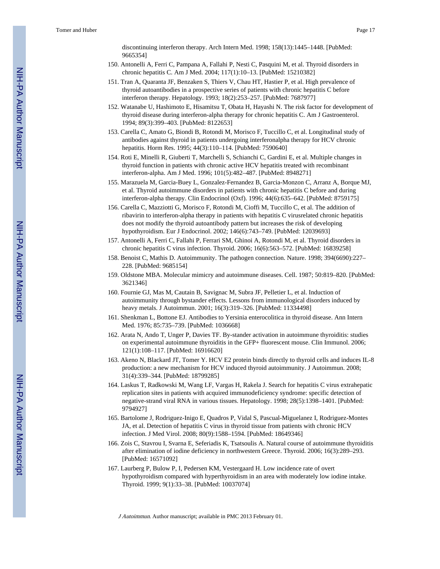discontinuing interferon therapy. Arch Intern Med. 1998; 158(13):1445–1448. [PubMed: 9665354]

- 150. Antonelli A, Ferri C, Pampana A, Fallahi P, Nesti C, Pasquini M, et al. Thyroid disorders in chronic hepatitis C. Am J Med. 2004; 117(1):10–13. [PubMed: 15210382]
- 151. Tran A, Quaranta JF, Benzaken S, Thiers V, Chau HT, Hastier P, et al. High prevalence of thyroid autoantibodies in a prospective series of patients with chronic hepatitis C before interferon therapy. Hepatology. 1993; 18(2):253–257. [PubMed: 7687977]
- 152. Watanabe U, Hashimoto E, Hisamitsu T, Obata H, Hayashi N. The risk factor for development of thyroid disease during interferon-alpha therapy for chronic hepatitis C. Am J Gastroenterol. 1994; 89(3):399–403. [PubMed: 8122653]
- 153. Carella C, Amato G, Biondi B, Rotondi M, Morisco F, Tuccillo C, et al. Longitudinal study of antibodies against thyroid in patients undergoing interferonalpha therapy for HCV chronic hepatitis. Horm Res. 1995; 44(3):110–114. [PubMed: 7590640]
- 154. Roti E, Minelli R, Giuberti T, Marchelli S, Schianchi C, Gardini E, et al. Multiple changes in thyroid function in patients with chronic active HCV hepatitis treated with recombinant interferon-alpha. Am J Med. 1996; 101(5):482–487. [PubMed: 8948271]
- 155. Marazuela M, Garcia-Buey L, Gonzalez-Fernandez B, Garcia-Monzon C, Arranz A, Borque MJ, et al. Thyroid autoimmune disorders in patients with chronic hepatitis C before and during interferon-alpha therapy. Clin Endocrinol (Oxf). 1996; 44(6):635–642. [PubMed: 8759175]
- 156. Carella C, Mazziotti G, Morisco F, Rotondi M, Cioffi M, Tuccillo C, et al. The addition of ribavirin to interferon-alpha therapy in patients with hepatitis C virusrelated chronic hepatitis does not modify the thyroid autoantibody pattern but increases the risk of developing hypothyroidism. Eur J Endocrinol. 2002; 146(6):743–749. [PubMed: 12039693]
- 157. Antonelli A, Ferri C, Fallahi P, Ferrari SM, Ghinoi A, Rotondi M, et al. Thyroid disorders in chronic hepatitis C virus infection. Thyroid. 2006; 16(6):563–572. [PubMed: 16839258]
- 158. Benoist C, Mathis D. Autoimmunity. The pathogen connection. Nature. 1998; 394(6690):227– 228. [PubMed: 9685154]
- 159. Oldstone MBA. Molecular mimicry and autoimmune diseases. Cell. 1987; 50:819–820. [PubMed: 3621346]
- 160. Fournie GJ, Mas M, Cautain B, Savignac M, Subra JF, Pelletier L, et al. Induction of autoimmunity through bystander effects. Lessons from immunological disorders induced by heavy metals. J Autoimmun. 2001; 16(3):319–326. [PubMed: 11334498]
- 161. Shenkman L, Bottone EJ. Antibodies to Yersinia enterocolitica in thyroid disease. Ann Intern Med. 1976; 85:735–739. [PubMed: 1036668]
- 162. Arata N, Ando T, Unger P, Davies TF. By-stander activation in autoimmune thyroiditis: studies on experimental autoimmune thyroiditis in the GFP+ fluorescent mouse. Clin Immunol. 2006; 121(1):108–117. [PubMed: 16916620]
- 163. Akeno N, Blackard JT, Tomer Y. HCV E2 protein binds directly to thyroid cells and induces IL-8 production: a new mechanism for HCV induced thyroid autoimmunity. J Autoimmun. 2008; 31(4):339–344. [PubMed: 18799285]
- 164. Laskus T, Radkowski M, Wang LF, Vargas H, Rakela J. Search for hepatitis C virus extrahepatic replication sites in patients with acquired immunodeficiency syndrome: specific detection of negative-strand viral RNA in various tissues. Hepatology. 1998; 28(5):1398–1401. [PubMed: 9794927]
- 165. Bartolome J, Rodriguez-Inigo E, Quadros P, Vidal S, Pascual-Miguelanez I, Rodriguez-Montes JA, et al. Detection of hepatitis C virus in thyroid tissue from patients with chronic HCV infection. J Med Virol. 2008; 80(9):1588–1594. [PubMed: 18649346]
- 166. Zois C, Stavrou I, Svarna E, Seferiadis K, Tsatsoulis A. Natural course of autoimmune thyroiditis after elimination of iodine deficiency in northwestern Greece. Thyroid. 2006; 16(3):289–293. [PubMed: 16571092]
- 167. Laurberg P, Bulow P, I, Pedersen KM, Vestergaard H. Low incidence rate of overt hypothyroidism compared with hyperthyroidism in an area with moderately low iodine intake. Thyroid. 1999; 9(1):33–38. [PubMed: 10037074]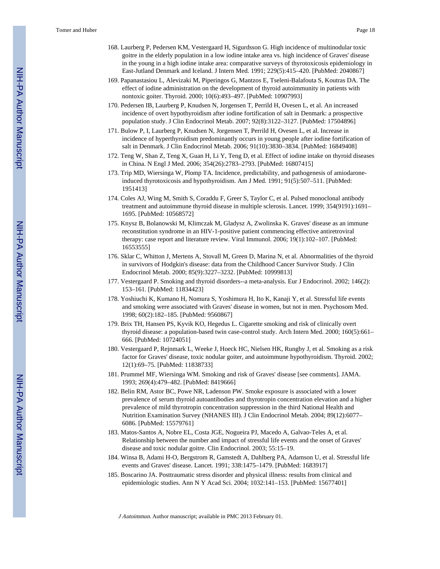- 168. Laurberg P, Pedersen KM, Vestergaard H, Sigurdsson G. High incidence of multinodular toxic goitre in the elderly population in a low iodine intake area vs. high incidence of Graves' disease in the young in a high iodine intake area: comparative surveys of thyrotoxicosis epidemiology in East-Jutland Denmark and Iceland. J Intern Med. 1991; 229(5):415–420. [PubMed: 2040867]
- 169. Papanastasiou L, Alevizaki M, Piperingos G, Mantzos E, Tseleni-Balafouta S, Koutras DA. The effect of iodine administration on the development of thyroid autoimmunity in patients with nontoxic goiter. Thyroid. 2000; 10(6):493–497. [PubMed: 10907993]
- 170. Pedersen IB, Laurberg P, Knudsen N, Jorgensen T, Perrild H, Ovesen L, et al. An increased incidence of overt hypothyroidism after iodine fortification of salt in Denmark: a prospective population study. J Clin Endocrinol Metab. 2007; 92(8):3122–3127. [PubMed: 17504896]
- 171. Bulow P, I, Laurberg P, Knudsen N, Jorgensen T, Perrild H, Ovesen L, et al. Increase in incidence of hyperthyroidism predominantly occurs in young people after iodine fortification of salt in Denmark. J Clin Endocrinol Metab. 2006; 91(10):3830–3834. [PubMed: 16849408]
- 172. Teng W, Shan Z, Teng X, Guan H, Li Y, Teng D, et al. Effect of iodine intake on thyroid diseases in China. N Engl J Med. 2006; 354(26):2783–2793. [PubMed: 16807415]
- 173. Trip MD, Wiersinga W, Plomp TA. Incidence, predictability, and pathogenesis of amiodaroneinduced thyrotoxicosis and hypothyroidism. Am J Med. 1991; 91(5):507–511. [PubMed: 1951413]
- 174. Coles AJ, Wing M, Smith S, Coraddu F, Greer S, Taylor C, et al. Pulsed monoclonal antibody treatment and autoimmune thyroid disease in multiple sclerosis. Lancet. 1999; 354(9191):1691– 1695. [PubMed: 10568572]
- 175. Knysz B, Bolanowski M, Klimczak M, Gladysz A, Zwolinska K. Graves' disease as an immune reconstitution syndrome in an HIV-1-positive patient commencing effective antiretroviral therapy: case report and literature review. Viral Immunol. 2006; 19(1):102–107. [PubMed: 16553555]
- 176. Sklar C, Whitton J, Mertens A, Stovall M, Green D, Marina N, et al. Abnormalities of the thyroid in survivors of Hodgkin's disease: data from the Childhood Cancer Survivor Study. J Clin Endocrinol Metab. 2000; 85(9):3227–3232. [PubMed: 10999813]
- 177. Vestergaard P. Smoking and thyroid disorders--a meta-analysis. Eur J Endocrinol. 2002; 146(2): 153–161. [PubMed: 11834423]
- 178. Yoshiuchi K, Kumano H, Nomura S, Yoshimura H, Ito K, Kanaji Y, et al. Stressful life events and smoking were associated with Graves' disease in women, but not in men. Psychosom Med. 1998; 60(2):182–185. [PubMed: 9560867]
- 179. Brix TH, Hansen PS, Kyvik KO, Hegedus L. Cigarette smoking and risk of clinically overt thyroid disease: a population-based twin case-control study. Arch Intern Med. 2000; 160(5):661– 666. [PubMed: 10724051]
- 180. Vestergaard P, Rejnmark L, Weeke J, Hoeck HC, Nielsen HK, Rungby J, et al. Smoking as a risk factor for Graves' disease, toxic nodular goiter, and autoimmune hypothyroidism. Thyroid. 2002; 12(1):69–75. [PubMed: 11838733]
- 181. Prummel MF, Wiersinga WM. Smoking and risk of Graves' disease [see comments]. JAMA. 1993; 269(4):479–482. [PubMed: 8419666]
- 182. Belin RM, Astor BC, Powe NR, Ladenson PW. Smoke exposure is associated with a lower prevalence of serum thyroid autoantibodies and thyrotropin concentration elevation and a higher prevalence of mild thyrotropin concentration suppression in the third National Health and Nutrition Examination Survey (NHANES III). J Clin Endocrinol Metab. 2004; 89(12):6077– 6086. [PubMed: 15579761]
- 183. Matos-Santos A, Nobre EL, Costa JGE, Nogueira PJ, Macedo A, Galvao-Teles A, et al. Relationship between the number and impact of stressful life events and the onset of Graves' disease and toxic nodular goitre. Clin Endocrinol. 2003; 55:15–19.
- 184. Winsa B, Adami H-O, Bergstrom R, Gamstedt A, Dahlberg PA, Adamson U, et al. Stressful life events and Graves' disease. Lancet. 1991; 338:1475–1479. [PubMed: 1683917]
- 185. Boscarino JA. Posttraumatic stress disorder and physical illness: results from clinical and epidemiologic studies. Ann N Y Acad Sci. 2004; 1032:141–153. [PubMed: 15677401]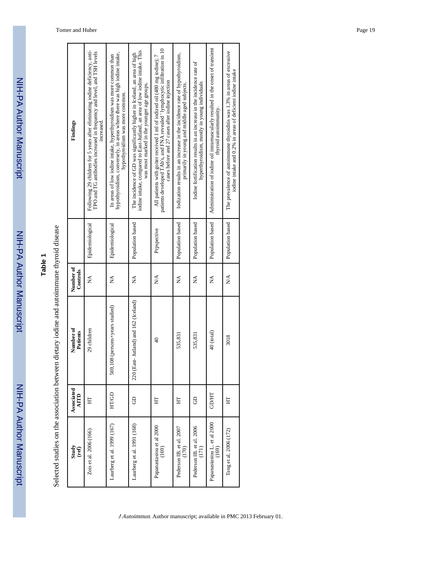NIH-PA Author Manuscript

NIH-PA Author Manuscript

| ۹      |  |
|--------|--|
| ć<br>ı |  |
|        |  |
|        |  |
|        |  |

Selected studies on the association between dietary iodine and autoimmune thyroid disease Selected studies on the association between dietary iodine and autoimmune thyroid disease

| Findings              | Following 29 children for 5 years after eliminating iodine deficiency, anti-<br>TPO and TG antibodies increased in frequency and level, and TSH levels<br>increased. | hypothyroidism, conversely, in areas where there was high iodine intake,<br>In areas of low iodine intake, hyperthyroidism was more common than<br>hypothyroidism was more common. | iodine intake, compared to East-Jutland, an area of low iodine intake. This<br>The incidence of GD was significantly higher in Iceland, an area of high<br>was most marked in the younger age groups. | patients developed TAb's, and FNA revealed 'lymphocytic infiltration in 10<br>All patients with goiter received 1 ml of iodized oil (480 mg iodine); 7<br>cases before and 27 cases after iodine injection | Iodization results in an increase in the incidence rate of hypothyroidism,<br>primarily in young and middle aged subjects. | Iodine fortification results in an increase in the incidence rate of<br>hyperthyroidism, mostly in young individuals | Administration of iodine oil intramuscularly resulted in the onset of transient<br>thyroid autoimmunity. | The prevalence of autoimmune thyroiditis was 1.3% in areas of excessive<br>iodine intake and 0.2% in areas of deficient iodine intake |
|-----------------------|----------------------------------------------------------------------------------------------------------------------------------------------------------------------|------------------------------------------------------------------------------------------------------------------------------------------------------------------------------------|-------------------------------------------------------------------------------------------------------------------------------------------------------------------------------------------------------|------------------------------------------------------------------------------------------------------------------------------------------------------------------------------------------------------------|----------------------------------------------------------------------------------------------------------------------------|----------------------------------------------------------------------------------------------------------------------|----------------------------------------------------------------------------------------------------------|---------------------------------------------------------------------------------------------------------------------------------------|
|                       | Epidemiological                                                                                                                                                      | Epidemiological                                                                                                                                                                    | Population based                                                                                                                                                                                      | Prpspective                                                                                                                                                                                                | Population based                                                                                                           | Population based                                                                                                     | Population based                                                                                         | Population based                                                                                                                      |
| Number of<br>Controls | Ź                                                                                                                                                                    | Ź                                                                                                                                                                                  | Ź                                                                                                                                                                                                     | ₿                                                                                                                                                                                                          | Ź                                                                                                                          | Ź                                                                                                                    | $\mathbb{X}^{\mathsf{A}}$                                                                                | ≿∖                                                                                                                                    |
| Number of<br>Patients | 29 children                                                                                                                                                          | 569,108 (persons×years studied)                                                                                                                                                    | East-Jutland) and 162 (Iceland)<br>220 <sub>0</sub>                                                                                                                                                   | $\frac{1}{4}$                                                                                                                                                                                              | 535,831                                                                                                                    | 535,83                                                                                                               | 40 (total)                                                                                               | 3018                                                                                                                                  |
| Associated<br>AITD    | 도                                                                                                                                                                    | HT/GD                                                                                                                                                                              | පි                                                                                                                                                                                                    | 뵤                                                                                                                                                                                                          | 뵤                                                                                                                          | 8                                                                                                                    | <b>GD/HT</b>                                                                                             | 툐                                                                                                                                     |
| Study<br>(ref)        | Zois et al. 2006 (166)                                                                                                                                               | Laurberg et al. 1999 (167)                                                                                                                                                         | Laurberg et al. 1991 (168)                                                                                                                                                                            | Papanastasiou et al 2000<br>(169)                                                                                                                                                                          | Pederson IB. et al. 2007<br>(170)                                                                                          | Pederson IB. et al. 2006<br>(171)                                                                                    | Papanastasiou L. et al 2000<br>(169)                                                                     | Teng et al. 2006 (172)                                                                                                                |

Tomer and Huber Page 19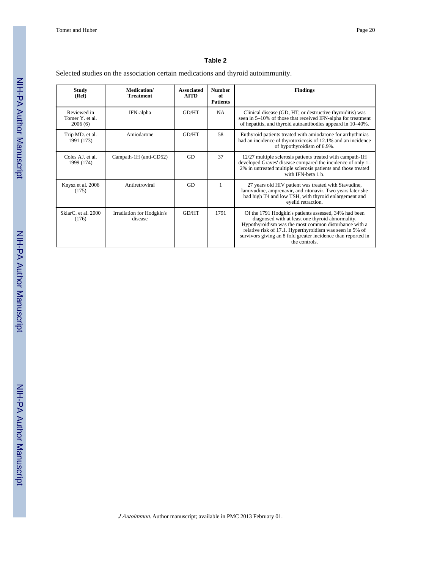#### **Table 2**

Selected studies on the association certain medications and thyroid autoimmunity.

| Study<br>(Ref)                            | Medication/<br><b>Treatment</b>      | <b>Associated</b><br><b>AITD</b> | <b>Number</b><br>0f<br><b>Patients</b> | <b>Findings</b>                                                                                                                                                                                                                                                                                                  |
|-------------------------------------------|--------------------------------------|----------------------------------|----------------------------------------|------------------------------------------------------------------------------------------------------------------------------------------------------------------------------------------------------------------------------------------------------------------------------------------------------------------|
| Reviewed in<br>Tomer Y. et al.<br>2006(6) | IFN-alpha                            | <b>GD/HT</b>                     | <b>NA</b>                              | Clinical disease (GD, HT, or destructive thyroiditis) was<br>seen in 5–10% of those that received IFN-alpha for treatment<br>of hepatitis, and thyroid autoantibodies appeard in 10–40%.                                                                                                                         |
| Trip MD. et al.<br>1991 (173)             | Amiodarone                           | <b>GD/HT</b>                     | 58                                     | Euthyroid patients treated with amiodarone for arrhythmias<br>had an incidence of thyrotoxicosis of 12.1% and an incidence<br>of hypothyroidism of 6.9%.                                                                                                                                                         |
| Coles AJ, et al.<br>1999 (174)            | Campath-1H (anti-CD52)               | GD                               | 37                                     | 12/27 multiple sclerosis patients treated with campath-1H<br>developed Graves' disease compared the incidence of only 1-<br>2% in untreated multiple sclerosis patients and those treated<br>with IFN-beta 1 b                                                                                                   |
| Knysz et al. 2006<br>(175)                | Antiretroviral                       | GD                               | $\mathbf{1}$                           | 27 years old HIV patient was treated with Stavudine,<br>lamivudine, amprenavir, and ritonavir. Two years later she<br>had high T4 and low TSH, with thyroid enlargement and<br>evelid retraction.                                                                                                                |
| SklarC, et al. 2000<br>(176)              | Irradiation for Hodgkin's<br>disease | GD/HT                            | 1791                                   | Of the 1791 Hodgkin's patients assessed, 34% had been<br>diagnosed with at least one thyroid abnormality.<br>Hypothyroidism was the most common disturbance with a<br>relative risk of 17.1. Hyperthyroidism was seen in 5% of<br>survivors giving an 8 fold greater incidence than reported in<br>the controls. |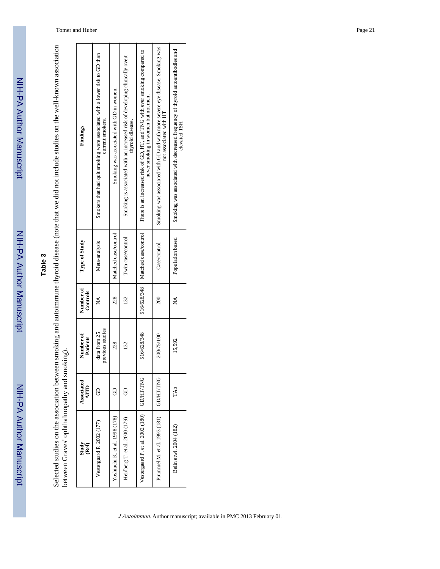## **Table 3**

Selected studies on the association between smoking and autoimmune thyroid disease (note that we did not include studies on the well-known association<br>between Graves' ophthalmopathy and smoking). Selected studies on the association between smoking and autoimmune thyroid disease (note that we did not include studies on the well-known association between Graves' ophthalmopathy and smoking).

| Findings              | Smokers that had quit smoking were associated with a lower risk to GD than<br>current smokers. | Smoking was associated with GD in women. | Smoking is associated with an increased risk of developing clinically overt<br>thyroid disease. | There is an increased risk of GD, HT, and TNG with ever smoking compared to<br>never smoking in women but not men. | Smoking was associated with GD and with more severe eye disease. Smoking was<br>not associated with HT | Smoking was associated with decreased frequency of thyroid autoantibodies and<br>elevated TSH |
|-----------------------|------------------------------------------------------------------------------------------------|------------------------------------------|-------------------------------------------------------------------------------------------------|--------------------------------------------------------------------------------------------------------------------|--------------------------------------------------------------------------------------------------------|-----------------------------------------------------------------------------------------------|
| Type of Study         | Meta-analysis                                                                                  | Matched case/control                     | Twin case/control                                                                               | 516/628/348   Matched case/control                                                                                 | Case/control                                                                                           | Population based                                                                              |
| Number of<br>Controls | ≸                                                                                              | 228                                      | 132                                                                                             |                                                                                                                    | 200                                                                                                    | ⊉                                                                                             |
| Number of<br>Patients | previous studies<br>data from 25                                                               | 228                                      | 132                                                                                             | 516/628/348                                                                                                        | 200/75/100                                                                                             | 15,592                                                                                        |
| Associated<br>AITD    |                                                                                                | e                                        |                                                                                                 |                                                                                                                    | <b>GD/HT/TNG</b>                                                                                       | TAb                                                                                           |
| Study<br>(Ref)        | Vestergaard P. 2002 (177)                                                                      | Yoshiuchi K. et al. 1998 (178)           | Heidberg T. et al. 2000 (179)                                                                   | Vestergaard P. et al. 2002 (180)   GD/HT/TNG                                                                       | Prummel M. et al. 1993 (181)                                                                           | Belin etwl. 2004 (182)                                                                        |